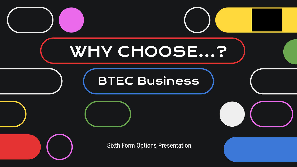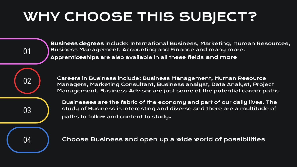# WHY CHOOSE THIS SUBJECT?

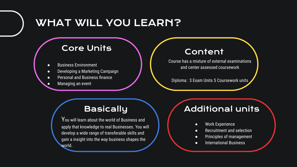# WHAT WILL YOU LEARN?

#### Core Units

- **Business Environment**
- Developing a Marketing Campaign
- Personal and Business finance
	- Managing an event

#### Content

Course has a mixture of external examinations and center assessed coursework

Diploma: 3 Exam Units 5 Coursework units

## **Basically**

 $\mathsf{Y}$ ou will learn about the world of Business and  $\mathsf{I}$ apply that knowledge to real Businesses. You will develop a wide range of transferable skills and gain a insight into the way business shapes the world.

### Additional units

- Work Experience
- Recruitment and selection
- Principles of management
- International Business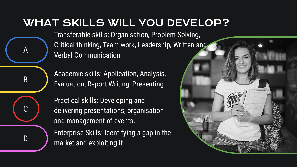# WHAT SKILLS WILL YOU DEVELOP?

Transferable skills: Organisation, Problem Solving, Critical thinking, Team work, Leadership, Written and Verbal Communication

Academic skills: Application, Analysis, Evaluation, Report Writing, Presenting

A

B

C

D

Practical skills: Developing and delivering presentations, organisation and management of events.

Enterprise Skills: Identifying a gap in the market and exploiting it

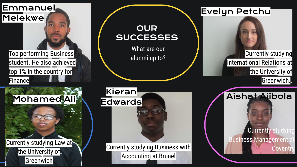



#### **OUR SUCCESSES**

What are our alumni up to?



Accounting at Brunel

## Evelyn Petchu

Currently studying International Relations at the University of Greenwich..



**Currently studying Business Management Coventry**